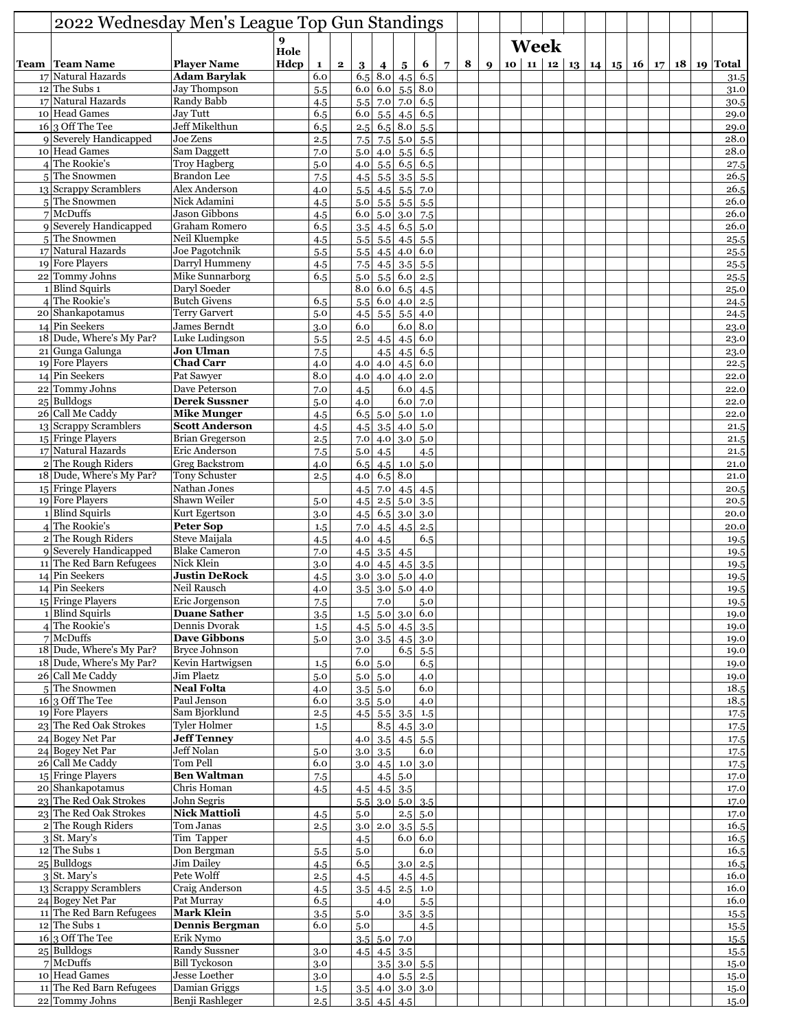| 2022 Wednesday Men's League Top Gun Standings    |                                              |                      |              |              |            |                |                            |                     |                |   |                  |  |                                                 |  |  |  |              |
|--------------------------------------------------|----------------------------------------------|----------------------|--------------|--------------|------------|----------------|----------------------------|---------------------|----------------|---|------------------|--|-------------------------------------------------|--|--|--|--------------|
|                                                  | 9                                            |                      |              |              |            | <b>Week</b>    |                            |                     |                |   |                  |  |                                                 |  |  |  |              |
| <b>Team   Team Name</b>                          | <b>Player Name</b>                           | Hole<br><b>H</b> dcp | $\mathbf{1}$ | $\mathbf{2}$ | 3          | $\overline{4}$ | 5 <sub>5</sub>             | 6                   | $\overline{7}$ | 8 | $\boldsymbol{Q}$ |  | 10   11   12   13   14   15   16   17   18   19 |  |  |  | Total        |
| 17 Natural Hazards                               | <b>Adam Barvlak</b>                          |                      | 6.0          |              | 6.5        | 8.0            | 4.5                        | 6.5                 |                |   |                  |  |                                                 |  |  |  | 31.5         |
| $12$ The Subs 1                                  | Jay Thompson                                 |                      | 5.5          |              | 6.0        | 6.0            | 5.5                        | 8.0                 |                |   |                  |  |                                                 |  |  |  | 31.0         |
| 17 Natural Hazards<br>10 Head Games              | Randy Babb<br><b>Jay Tutt</b>                |                      | 4.5<br>6.5   |              | 5.5<br>6.0 | 7.0<br>5.5     | 7.0<br>4.5                 | 6.5<br>6.5          |                |   |                  |  |                                                 |  |  |  | 30.5<br>29.0 |
| $16 3$ Off The Tee                               | Jeff Mikelthun                               |                      | 6.5          |              | 2.5        |                | $6.5 \,   \, 8.0$          | 5.5                 |                |   |                  |  |                                                 |  |  |  | 29.0         |
| 9 Severely Handicapped                           | Joe Zens                                     |                      | 2.5          |              | 7.5        | 7.5            | 5.0                        | 5.5                 |                |   |                  |  |                                                 |  |  |  | 28.0         |
| 10 Head Games                                    | Sam Daggett                                  |                      | 7.0          |              | 5.0        | 4.0            | 5.5                        | 6.5                 |                |   |                  |  |                                                 |  |  |  | 28.0         |
| $4$ The Rookie's<br>5 <sup>The Snowmen</sup>     | <b>Troy Hagberg</b><br><b>Brandon Lee</b>    |                      | 5.0<br>7.5   |              | 4.0        | 5.5            | 6.5                        | 6.5                 |                |   |                  |  |                                                 |  |  |  | 27.5<br>26.5 |
| 13 Scrappy Scramblers                            | Alex Anderson                                |                      | 4.0          |              | 4.5<br>5.5 | 5.5            | 3.5<br>$4.5$ 5.5           | 5.5<br>7.0          |                |   |                  |  |                                                 |  |  |  | 26.5         |
| 5 The Snowmen                                    | Nick Adamini                                 |                      | 4.5          |              | 5.0        | 5.5            | 5.5                        | 5.5                 |                |   |                  |  |                                                 |  |  |  | 26.0         |
| $7$ McDuffs                                      | <b>Jason Gibbons</b>                         |                      | 4.5          |              | 6.0        | 5.0            | 3.0                        | 7.5                 |                |   |                  |  |                                                 |  |  |  | 26.0         |
| 9 Severely Handicapped                           | <b>Graham Romero</b>                         |                      | 6.5          |              | 3.5        | 4.5            | 6.5                        | 5.0                 |                |   |                  |  |                                                 |  |  |  | 26.0         |
| 5The Snowmen<br>17 Natural Hazards               | Neil Kluempke<br>Joe Pagotchnik              |                      | 4.5<br>5.5   |              | 5.5<br>5.5 | 5.5            | 4.5<br>$4.5$ 4.0           | 5.5<br>6.0          |                |   |                  |  |                                                 |  |  |  | 25.5<br>25.5 |
| 19 Fore Players                                  | Darryl Hummeny                               |                      | 4.5          |              | 7.5        | 4.5            | 3.5                        | 5.5                 |                |   |                  |  |                                                 |  |  |  | 25.5         |
| 22 Tommy Johns                                   | Mike Sunnarborg                              |                      | 6.5          |              | 5.0        | 5.5            | 6.0                        | 2.5                 |                |   |                  |  |                                                 |  |  |  | 25.5         |
| 1 Blind Squirls                                  | Daryl Soeder                                 |                      |              |              | 8.0        | 6.0            | 6.5                        | 4.5                 |                |   |                  |  |                                                 |  |  |  | 25.0         |
| $4$ The Rookie's<br>20 Shankapotamus             | <b>Butch Givens</b><br><b>Terry Garvert</b>  |                      | 6.5          |              | 5.5        | 6.0            | 4.0                        | 2.5                 |                |   |                  |  |                                                 |  |  |  | 24.5         |
| 14 Pin Seekers                                   | James Berndt                                 |                      | 5.0<br>3.0   |              | 4.5<br>6.0 | 5.5            | 5.5<br>6.0                 | 4.0<br>8.0          |                |   |                  |  |                                                 |  |  |  | 24.5<br>23.0 |
| 18 Dude, Where's My Par?                         | Luke Ludingson                               |                      | $5.5\,$      |              | 2.5        | 4.5            | 4.5                        | 6.0                 |                |   |                  |  |                                                 |  |  |  | 23.0         |
| 21 Gunga Galunga                                 | <b>Jon Ulman</b>                             |                      | 7.5          |              |            | 4.5            | 4.5                        | 6.5                 |                |   |                  |  |                                                 |  |  |  | 23.0         |
| 19 Fore Players                                  | <b>Chad Carr</b>                             |                      | 4.0          |              | 4.0        | 4.0            | 4.5                        | 6.0                 |                |   |                  |  |                                                 |  |  |  | 22.5         |
| 14 Pin Seekers<br>22 Tommy Johns                 | Pat Sawyer<br>Dave Peterson                  |                      | 8.0          |              | 4.0        |                | 4.0   4.0                  | 2.0                 |                |   |                  |  |                                                 |  |  |  | 22.0         |
| $25$ Bulldogs                                    | <b>Derek Sussner</b>                         |                      | 7.0<br>5.0   |              | 4.5<br>4.0 |                | 6.0<br>6.0                 | 4.5<br>7.0          |                |   |                  |  |                                                 |  |  |  | 22.0<br>22.0 |
| 26 Call Me Caddy                                 | <b>Mike Munger</b>                           |                      | 4.5          |              | 6.5        | 5.0            | 5.0                        | 1.0                 |                |   |                  |  |                                                 |  |  |  | 22.0         |
| 13 Scrappy Scramblers                            | <b>Scott Anderson</b>                        |                      | 4.5          |              | 4.5        | 3.5            | 4.0                        | 5.0                 |                |   |                  |  |                                                 |  |  |  | 21.5         |
| 15 Fringe Players                                | <b>Brian Gregerson</b>                       |                      | 2.5          |              | 7.0        |                | 4.0 3.0                    | 5.0                 |                |   |                  |  |                                                 |  |  |  | 21.5         |
| 17 Natural Hazards<br>2 The Rough Riders         | Eric Anderson<br><b>Greg Backstrom</b>       |                      | 7.5          |              | 5.0        | 4.5            |                            | 4.5                 |                |   |                  |  |                                                 |  |  |  | 21.5         |
| 18 Dude, Where's My Par?                         | Tony Schuster                                |                      | 4.0<br>2.5   |              | 6.5<br>4.0 | 4.5            | 1.0<br>$6.5 \, 8.0$        | 5.0                 |                |   |                  |  |                                                 |  |  |  | 21.0<br>21.0 |
| 15 Fringe Players                                | Nathan Jones                                 |                      |              |              | 4.5        | 7.0            | 4.5                        | 4.5                 |                |   |                  |  |                                                 |  |  |  | 20.5         |
| 19 Fore Players                                  | Shawn Weiler                                 |                      | 5.0          |              | 4.5        |                | 2.5 5.0                    | 3.5                 |                |   |                  |  |                                                 |  |  |  | 20.5         |
| 1 Blind Squirls                                  | Kurt Egertson                                |                      | 3.0          |              | 4.5        | 6.5            | 3.0                        | 3.0                 |                |   |                  |  |                                                 |  |  |  | 20.0         |
| 4 The Rookie's<br>2 The Rough Riders             | <b>Peter Sop</b><br>Steve Maijala            |                      | 1.5<br>4.5   |              | 7.0<br>4.0 | 4.5            | 4.5                        | 2.5<br>6.5          |                |   |                  |  |                                                 |  |  |  | 20.0<br>19.5 |
| 9 Severely Handicapped                           | <b>Blake Cameron</b>                         |                      | 7.0          |              | 4.5        | 4.5            | $3.5$ 4.5                  |                     |                |   |                  |  |                                                 |  |  |  | 19.5         |
| 11 The Red Barn Refugees                         | Nick Klein                                   |                      | 3.0          |              | 4.0        |                | $4.5$ 4.5                  | 3.5                 |                |   |                  |  |                                                 |  |  |  | 19.5         |
| 14 Pin Seekers                                   | <b>Justin DeRock</b>                         |                      | 4.5          |              | 3.0        |                | 3.0 5.0                    | 4.0                 |                |   |                  |  |                                                 |  |  |  | 19.5         |
| 14 Pin Seekers                                   | Neil Rausch                                  |                      | 4.0          |              | 3.5        | 3.0            | 5.0                        | 4.0                 |                |   |                  |  |                                                 |  |  |  | 19.5         |
| 15 Fringe Players<br>1 Blind Squirls             | Eric Jorgenson<br><b>Duane Sather</b>        |                      | 7.5<br>3.5   |              | 1.5        | 7.0            | $5.0$ 3.0 6.0              | 5.0                 |                |   |                  |  |                                                 |  |  |  | 19.5<br>19.0 |
| $4$ The Rookie's                                 | Dennis Dvorak                                |                      | 1.5          |              | 4.5        |                | $5.0$ 4.5 3.5              |                     |                |   |                  |  |                                                 |  |  |  | 19.0         |
| $7$ McDuffs                                      | <b>Dave Gibbons</b>                          |                      | 5.0          |              | 3.0        |                | $3.5$ 4.5 3.0              |                     |                |   |                  |  |                                                 |  |  |  | 19.0         |
| 18 Dude, Where's My Par?                         | <b>Bryce Johnson</b>                         |                      |              |              | 7.0        |                | 6.5                        | 5.5                 |                |   |                  |  |                                                 |  |  |  | 19.0         |
| 18 Dude, Where's My Par?<br>26 Call Me Caddy     | Kevin Hartwigsen<br>Jim Plaetz               |                      | 1.5<br>5.0   |              | 6.0        | 5.0            |                            | 6.5<br>4.0          |                |   |                  |  |                                                 |  |  |  | 19.0<br>19.0 |
| 5 The Snowmen                                    | <b>Neal Folta</b>                            |                      | 4.0          |              | 5.0<br>3.5 | 5.0<br>5.0     |                            | 6.0                 |                |   |                  |  |                                                 |  |  |  | 18.5         |
| $16 3$ Off The Tee                               | Paul Jenson                                  |                      | 6.0          |              | 3.5        | 5.0            |                            | 4.0                 |                |   |                  |  |                                                 |  |  |  | 18.5         |
| 19 Fore Players                                  | Sam Bjorklund                                |                      | 2.5          |              | 4.5        |                | $5.5 \vert 3.5 \vert$      | $1.5\,$             |                |   |                  |  |                                                 |  |  |  | 17.5         |
| 23 The Red Oak Strokes                           | <b>Tyler Holmer</b>                          |                      | 1.5          |              |            |                | $8.5$ 4.5 3.0              |                     |                |   |                  |  |                                                 |  |  |  | 17.5         |
| 24 Bogey Net Par<br>24 Bogey Net Par             | <b>Jeff Tenney</b><br>Jeff Nolan             |                      | 5.0          |              | 4.0<br>3.0 | 3.5<br>3.5     | $4.5 \, 5.5$               | 6.0                 |                |   |                  |  |                                                 |  |  |  | 17.5<br>17.5 |
| 26 Call Me Caddy                                 | Tom Pell                                     |                      | 6.0          |              | 3.0        |                | $4.5$ 1.0                  | 3.0                 |                |   |                  |  |                                                 |  |  |  | 17.5         |
| 15 Fringe Players                                | <b>Ben Waltman</b>                           |                      | 7.5          |              |            |                | $4.5 \,   \, 5.0$          |                     |                |   |                  |  |                                                 |  |  |  | 17.0         |
| 20 Shankapotamus                                 | Chris Homan                                  |                      | 4.5          |              | 4.5        |                | $4.5$ 3.5                  |                     |                |   |                  |  |                                                 |  |  |  | 17.0         |
| 23 The Red Oak Strokes<br>23 The Red Oak Strokes | John Segris<br><b>Nick Mattioli</b>          |                      |              |              | 5.5        |                | $3.0$ 5.0 3.5              |                     |                |   |                  |  |                                                 |  |  |  | 17.0         |
| 2 The Rough Riders                               | Tom Janas                                    |                      | 4.5<br>2.5   |              | 5.0        | $3.0$ 2.0      | 3.5                        | $2.5 \, 5.0$<br>5.5 |                |   |                  |  |                                                 |  |  |  | 17.0<br>16.5 |
| $3$ St. Mary's                                   | Tim Tapper                                   |                      |              |              | 4.5        |                |                            | 6.0 6.0             |                |   |                  |  |                                                 |  |  |  | 16.5         |
| $12$ The Subs 1                                  | Don Bergman                                  |                      | 5.5          |              | 5.0        |                |                            | 6.0                 |                |   |                  |  |                                                 |  |  |  | 16.5         |
| 25 Bulldogs                                      | <b>Jim Dailey</b>                            |                      | 4.5          |              | 6.5        |                |                            | $3.0 \,   \, 2.5$   |                |   |                  |  |                                                 |  |  |  | 16.5         |
| 3 St. Mary's<br>13 Scrappy Scramblers            | Pete Wolff<br>Craig Anderson                 |                      | 2.5          |              | 4.5        |                |                            | $4.5$ 4.5           |                |   |                  |  |                                                 |  |  |  | 16.0<br>16.0 |
| 24 Bogey Net Par                                 | Pat Murray                                   |                      | 4.5<br>6.5   |              | 3.5        | 4.5<br>4.0     | $2.5$ 1.0                  | 5.5                 |                |   |                  |  |                                                 |  |  |  | 16.0         |
| 11 The Red Barn Refugees                         | Mark Klein                                   |                      | 3.5          |              | 5.0        |                | 3.5                        | 3.5                 |                |   |                  |  |                                                 |  |  |  | 15.5         |
| $12$ The Subs 1                                  | <b>Dennis Bergman</b>                        |                      | 6.0          |              | 5.0        |                |                            | 4.5                 |                |   |                  |  |                                                 |  |  |  | 15.5         |
| $16\overline{)3}$ Off The Tee                    | Erik Nymo                                    |                      |              |              |            |                | $3.5$ 5.0 7.0              |                     |                |   |                  |  |                                                 |  |  |  | 15.5         |
| 25 Bulldogs<br>$7$ McDuffs                       | <b>Randy Sussner</b><br><b>Bill Tyckoson</b> |                      | 3.0<br>3.0   |              | 4.5        |                | $4.5$ 3.5<br>$3.5$ 3.0 5.5 |                     |                |   |                  |  |                                                 |  |  |  | 15.5<br>15.0 |
| 10 Head Games                                    | Jesse Loether                                |                      | 3.0          |              |            |                | $4.0$ 5.5 2.5              |                     |                |   |                  |  |                                                 |  |  |  | 15.0         |
| 11 The Red Barn Refugees                         | Damian Griggs                                |                      | $1.5\,$      |              |            |                | $3.5$ 4.0 3.0 3.0          |                     |                |   |                  |  |                                                 |  |  |  | 15.0         |
| 22 Tommy Johns                                   | Benji Rashleger                              |                      | 2.5          |              |            |                | $3.5$ 4.5 4.5              |                     |                |   |                  |  |                                                 |  |  |  | 15.0         |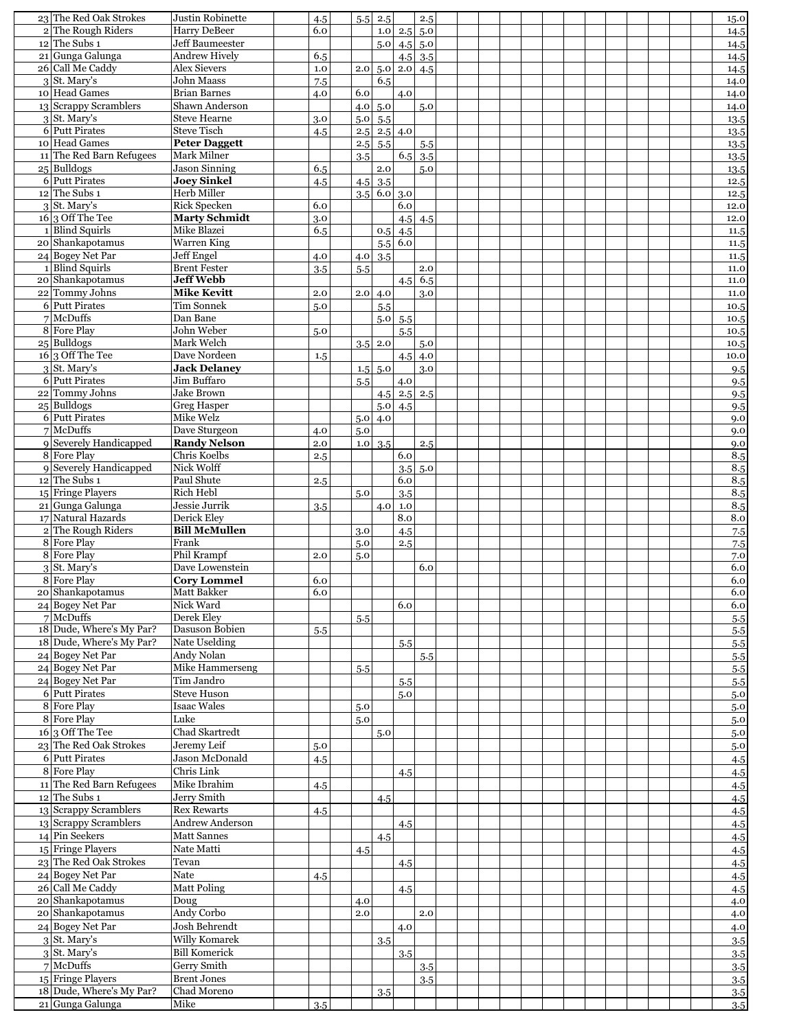| 23 The Red Oak Strokes                 | Justin Robinette                            | 4.5        | 5.5        | 2.5              |                 | 2.5               |  |  |  |  |  |  | 15.0         |
|----------------------------------------|---------------------------------------------|------------|------------|------------------|-----------------|-------------------|--|--|--|--|--|--|--------------|
| 2 The Rough Riders                     | <b>Harry DeBeer</b>                         | 6.0        |            |                  | $1.0$ 2.5 5.0   |                   |  |  |  |  |  |  | 14.5         |
| $12$ The Subs 1                        | <b>Jeff Baumeester</b>                      |            |            |                  | $5.0$ 4.5 $5.0$ |                   |  |  |  |  |  |  | 14.5         |
| 21 Gunga Galunga                       | <b>Andrew Hively</b>                        | 6.5        |            |                  |                 | $4.5 \,   \, 3.5$ |  |  |  |  |  |  | 14.5         |
| 26 Call Me Caddy                       | <b>Alex Sievers</b>                         | 1.0        | 2.0        |                  | $5.0$ 2.0 4.5   |                   |  |  |  |  |  |  | 14.5         |
| $3$ St. Mary's                         | John Maass                                  | 7.5        |            | 6.5              |                 |                   |  |  |  |  |  |  | 14.0         |
| 10 Head Games                          | <b>Brian Barnes</b>                         | 4.0        | 6.0        |                  | 4.0             |                   |  |  |  |  |  |  | 14.0         |
| 13 Scrappy Scramblers                  | Shawn Anderson                              |            | 4.0        | 5.0              |                 | 5.0               |  |  |  |  |  |  | 14.0         |
| $3$ St. Mary's                         | <b>Steve Hearne</b>                         | 3.0        | 5.0        | 5.5              |                 |                   |  |  |  |  |  |  | 13.5         |
| 6 Putt Pirates                         | <b>Steve Tisch</b>                          | 4.5        | 2.5        |                  | $2.5$ 4.0       |                   |  |  |  |  |  |  | 13.5         |
| 10 Head Games                          | <b>Peter Daggett</b>                        |            | 2.5        | 5.5              |                 | 5.5               |  |  |  |  |  |  | 13.5         |
| 11 The Red Barn Refugees               | Mark Milner                                 |            | 3.5        |                  | 6.5             | 3.5               |  |  |  |  |  |  | 13.5         |
| $25$ Bulldogs                          | <b>Jason Sinning</b>                        | 6.5        |            | $2.0\,$          |                 | 5.0               |  |  |  |  |  |  | 13.5         |
| 6 Putt Pirates                         | <b>Joey Sinkel</b>                          | 4.5        | 4.5        | 3.5              |                 |                   |  |  |  |  |  |  | 12.5         |
| $12$ The Subs 1                        | Herb Miller                                 |            | 3.5        |                  | 6.0   3.0       |                   |  |  |  |  |  |  | 12.5         |
| $3$ St. Mary's<br>$16 3$ Off The Tee   | <b>Rick Specken</b><br><b>Marty Schmidt</b> | 6.0        |            |                  | 6.0             |                   |  |  |  |  |  |  | 12.0<br>12.0 |
| 1 Blind Squirls                        | Mike Blazei                                 | 3.0<br>6.5 |            | 0.5              | 4.5             | $4.5$ 4.5         |  |  |  |  |  |  | 11.5         |
| 20 Shankapotamus                       | Warren King                                 |            |            |                  | 5.5   6.0       |                   |  |  |  |  |  |  | 11.5         |
| 24 Bogey Net Par                       | Jeff Engel                                  | 4.0        | 4.0        | 3.5              |                 |                   |  |  |  |  |  |  | 11.5         |
| 1 Blind Squirls                        | <b>Brent Fester</b>                         | 3.5        | 5.5        |                  |                 | 2.0               |  |  |  |  |  |  | 11.0         |
| 20 Shankapotamus                       | <b>Jeff Webb</b>                            |            |            |                  | 4.5             | 6.5               |  |  |  |  |  |  | 11.0         |
| 22 Tommy Johns                         | <b>Mike Kevitt</b>                          | 2.0        | 2.0        | 4.0              |                 | 3.0               |  |  |  |  |  |  | 11.0         |
| 6 Putt Pirates                         | <b>Tim Sonnek</b>                           | 5.0        |            | 5.5              |                 |                   |  |  |  |  |  |  | 10.5         |
| $7$ McDuffs                            | Dan Bane                                    |            |            |                  | $5.0$ 5.5       |                   |  |  |  |  |  |  | 10.5         |
| 8 Fore Play                            | John Weber                                  | 5.0        |            |                  | 5.5             |                   |  |  |  |  |  |  | 10.5         |
| $25$ Bulldogs                          | Mark Welch                                  |            | 3.5        | 2.0              |                 | 5.0               |  |  |  |  |  |  | 10.5         |
| $16 3$ Off The Tee                     | Dave Nordeen                                | 1.5        |            |                  |                 | $4.5$ 4.0         |  |  |  |  |  |  | 10.0         |
| $3$ St. Mary's                         | <b>Jack Delaney</b>                         |            | 1.5        | 5.0              |                 | 3.0               |  |  |  |  |  |  | 9.5          |
| 6 Putt Pirates                         | Jim Buffaro                                 |            | 5.5        |                  | 4.0             |                   |  |  |  |  |  |  | 9.5          |
| 22 Tommy Johns                         | <b>Jake Brown</b>                           |            |            | 4.5              | $2.5$ 2.5       |                   |  |  |  |  |  |  | 9.5          |
| $25$ Bulldogs                          | <b>Greg Hasper</b>                          |            |            |                  | 5.0   4.5       |                   |  |  |  |  |  |  | 9.5          |
| 6 Putt Pirates                         | Mike Welz                                   |            | 5.0        | 4.0              |                 |                   |  |  |  |  |  |  | 9.0          |
| $7$ McDuffs                            | Dave Sturgeon                               | 4.0        | 5.0        |                  |                 |                   |  |  |  |  |  |  | 9.0          |
| 9 Severely Handicapped                 | <b>Randy Nelson</b>                         | 2.0        | 1.0        | 3.5              |                 | 2.5               |  |  |  |  |  |  | 9.0          |
| 8 Fore Play                            | Chris Koelbs                                | 2.5        |            |                  | 6.0             |                   |  |  |  |  |  |  | 8.5          |
| 9 Severely Handicapped                 | Nick Wolff                                  |            |            |                  |                 | $3.5$ 5.0         |  |  |  |  |  |  | 8.5          |
| $12$ The Subs 1                        | Paul Shute                                  | 2.5        |            |                  | 6.0             |                   |  |  |  |  |  |  | 8.5          |
| 15 Fringe Players                      | Rich Hebl                                   |            | 5.0        |                  | 3.5             |                   |  |  |  |  |  |  | 8.5          |
| 21 Gunga Galunga<br>17 Natural Hazards | Jessie Jurrik<br>Derick Elev                | 3.5        |            |                  | $4.0$   1.0     |                   |  |  |  |  |  |  | 8.5          |
|                                        | <b>Bill McMullen</b>                        |            |            |                  | 8.0             |                   |  |  |  |  |  |  | 8.0          |
| 2 The Rough Riders<br>8 Fore Play      | Frank                                       |            | 3.0        |                  | 4.5             |                   |  |  |  |  |  |  | 7.5          |
| 8 Fore Play                            | Phil Krampf                                 |            | 5.0<br>5.0 |                  | 2.5             |                   |  |  |  |  |  |  | 7.5          |
| $3$ St. Mary's                         | Dave Lowenstein                             | 2.0        |            |                  |                 | 6.0               |  |  |  |  |  |  | 7.0<br>6.0   |
| 8 Fore Play                            | <b>Cory Lommel</b>                          | 6.0        |            |                  |                 |                   |  |  |  |  |  |  | 6.0          |
| 20 Shankapotamus                       | <b>Matt Bakker</b>                          | 6.0        |            |                  |                 |                   |  |  |  |  |  |  | 6.0          |
| 24 Bogey Net Par                       | Nick Ward                                   |            |            |                  | 6.0             |                   |  |  |  |  |  |  | 6.0          |
| $7$ McDuffs                            | Derek Elev                                  |            | 5.5        |                  |                 |                   |  |  |  |  |  |  | 5.5          |
| 18 Dude, Where's My Par?               | Dasuson Bobien                              | 5.5        |            |                  |                 |                   |  |  |  |  |  |  | 5.5          |
| 18 Dude, Where's My Par?               | Nate Uselding                               |            |            |                  | $5.5\,$         |                   |  |  |  |  |  |  | 5.5          |
| 24 Bogey Net Par                       | Andy Nolan                                  |            |            |                  |                 | 5.5               |  |  |  |  |  |  | 5.5          |
| 24 Bogey Net Par                       | Mike Hammerseng                             |            | 5.5        |                  |                 |                   |  |  |  |  |  |  | 5.5          |
| 24 Bogey Net Par                       | Tim Jandro                                  |            |            |                  | 5.5             |                   |  |  |  |  |  |  | 5.5          |
| 6 Putt Pirates                         | <b>Steve Huson</b>                          |            |            |                  | 5.0             |                   |  |  |  |  |  |  | 5.0          |
| 8 Fore Play                            | <b>Isaac Wales</b>                          |            | 5.0        |                  |                 |                   |  |  |  |  |  |  | 5.0          |
| 8 Fore Play                            | Luke                                        |            | 5.0        |                  |                 |                   |  |  |  |  |  |  | 5.0          |
| $16 \vert 3$ Off The Tee               | Chad Skartredt                              |            |            | 5.0 <sub>1</sub> |                 |                   |  |  |  |  |  |  | 5.0          |
| 23 The Red Oak Strokes                 | Jeremy Leif                                 | 5.0        |            |                  |                 |                   |  |  |  |  |  |  | 5.0          |
| 6 Putt Pirates                         | Jason McDonald                              | 4.5        |            |                  |                 |                   |  |  |  |  |  |  | 4.5          |
| 8 Fore Play                            | Chris Link                                  |            |            |                  | 4.5             |                   |  |  |  |  |  |  | 4.5          |
| 11 The Red Barn Refugees               | Mike Ibrahim                                | 4.5        |            |                  |                 |                   |  |  |  |  |  |  | 4.5          |
| $12$ The Subs 1                        | Jerry Smith                                 |            |            | 4.5              |                 |                   |  |  |  |  |  |  | 4.5          |
| 13 Scrappy Scramblers                  | <b>Rex Rewarts</b>                          | 4.5        |            |                  |                 |                   |  |  |  |  |  |  | 4.5          |
| 13 Scrappy Scramblers                  | Andrew Anderson                             |            |            |                  | 4.5             |                   |  |  |  |  |  |  | 4.5          |
| 14 Pin Seekers                         | Matt Sannes                                 |            |            | 4.5              |                 |                   |  |  |  |  |  |  | 4.5          |
| 15 Fringe Players                      | Nate Matti                                  |            | 4.5        |                  |                 |                   |  |  |  |  |  |  | 4.5          |
| 23 The Red Oak Strokes                 | Tevan                                       |            |            |                  | 4.5             |                   |  |  |  |  |  |  | 4.5          |
| 24 Bogey Net Par                       | Nate                                        | 4.5        |            |                  |                 |                   |  |  |  |  |  |  | 4.5          |
| 26 Call Me Caddy                       | <b>Matt Poling</b>                          |            |            |                  | 4.5             |                   |  |  |  |  |  |  | 4.5          |
| 20 Shankapotamus                       | Doug                                        |            | 4.0        |                  |                 |                   |  |  |  |  |  |  | 4.0          |
| 20 Shankapotamus                       | Andy Corbo                                  |            | 2.0        |                  |                 | 2.0               |  |  |  |  |  |  | 4.0          |
| 24 Bogey Net Par                       | Josh Behrendt                               |            |            |                  | 4.0             |                   |  |  |  |  |  |  | 4.0          |
| $3$ St. Mary's                         | Willy Komarek                               |            |            | 3.5              |                 |                   |  |  |  |  |  |  | 3.5          |
| $3$ St. Mary's                         | <b>Bill Komerick</b>                        |            |            |                  | 3.5             |                   |  |  |  |  |  |  | 3.5          |
| $7$ McDuffs                            | Gerry Smith                                 |            |            |                  |                 | 3.5               |  |  |  |  |  |  | 3.5          |
| 15 Fringe Players                      | <b>Brent Jones</b>                          |            |            |                  |                 | 3.5               |  |  |  |  |  |  | 3.5          |
| 18 Dude, Where's My Par?               | Chad Moreno                                 |            |            | $3.5\,$          |                 |                   |  |  |  |  |  |  | 3.5          |
| 21 Gunga Galunga                       | Mike                                        | 3.5        |            |                  |                 |                   |  |  |  |  |  |  | 3.5          |